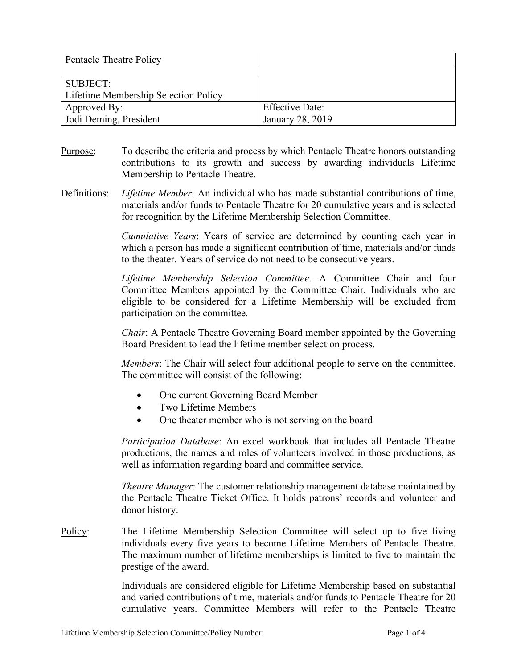| Pentacle Theatre Policy              |                        |
|--------------------------------------|------------------------|
|                                      |                        |
| SUBJECT:                             |                        |
| Lifetime Membership Selection Policy |                        |
| Approved By:                         | <b>Effective Date:</b> |
| Jodi Deming, President               | January 28, 2019       |

- Purpose: To describe the criteria and process by which Pentacle Theatre honors outstanding contributions to its growth and success by awarding individuals Lifetime Membership to Pentacle Theatre.
- Definitions: *Lifetime Member*: An individual who has made substantial contributions of time, materials and/or funds to Pentacle Theatre for 20 cumulative years and is selected for recognition by the Lifetime Membership Selection Committee.

*Cumulative Years*: Years of service are determined by counting each year in which a person has made a significant contribution of time, materials and/or funds to the theater. Years of service do not need to be consecutive years.

*Lifetime Membership Selection Committee*. A Committee Chair and four Committee Members appointed by the Committee Chair. Individuals who are eligible to be considered for a Lifetime Membership will be excluded from participation on the committee.

*Chair*: A Pentacle Theatre Governing Board member appointed by the Governing Board President to lead the lifetime member selection process.

*Members*: The Chair will select four additional people to serve on the committee. The committee will consist of the following:

- One current Governing Board Member
- Two Lifetime Members
- One theater member who is not serving on the board

*Participation Database*: An excel workbook that includes all Pentacle Theatre productions, the names and roles of volunteers involved in those productions, as well as information regarding board and committee service.

*Theatre Manager*: The customer relationship management database maintained by the Pentacle Theatre Ticket Office. It holds patrons' records and volunteer and donor history.

Policy: The Lifetime Membership Selection Committee will select up to five living individuals every five years to become Lifetime Members of Pentacle Theatre. The maximum number of lifetime memberships is limited to five to maintain the prestige of the award.

> Individuals are considered eligible for Lifetime Membership based on substantial and varied contributions of time, materials and/or funds to Pentacle Theatre for 20 cumulative years. Committee Members will refer to the Pentacle Theatre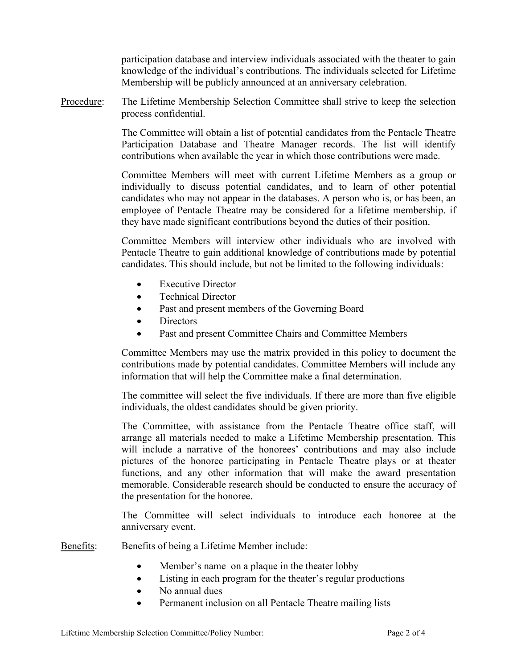participation database and interview individuals associated with the theater to gain knowledge of the individual's contributions. The individuals selected for Lifetime Membership will be publicly announced at an anniversary celebration.

Procedure: The Lifetime Membership Selection Committee shall strive to keep the selection process confidential.

> The Committee will obtain a list of potential candidates from the Pentacle Theatre Participation Database and Theatre Manager records. The list will identify contributions when available the year in which those contributions were made.

> Committee Members will meet with current Lifetime Members as a group or individually to discuss potential candidates, and to learn of other potential candidates who may not appear in the databases. A person who is, or has been, an employee of Pentacle Theatre may be considered for a lifetime membership. if they have made significant contributions beyond the duties of their position.

> Committee Members will interview other individuals who are involved with Pentacle Theatre to gain additional knowledge of contributions made by potential candidates. This should include, but not be limited to the following individuals:

- Executive Director
- Technical Director
- Past and present members of the Governing Board
- Directors
- Past and present Committee Chairs and Committee Members

Committee Members may use the matrix provided in this policy to document the contributions made by potential candidates. Committee Members will include any information that will help the Committee make a final determination.

The committee will select the five individuals. If there are more than five eligible individuals, the oldest candidates should be given priority.

The Committee, with assistance from the Pentacle Theatre office staff, will arrange all materials needed to make a Lifetime Membership presentation. This will include a narrative of the honorees' contributions and may also include pictures of the honoree participating in Pentacle Theatre plays or at theater functions, and any other information that will make the award presentation memorable. Considerable research should be conducted to ensure the accuracy of the presentation for the honoree.

The Committee will select individuals to introduce each honoree at the anniversary event.

Benefits: Benefits of being a Lifetime Member include:

- Member's name on a plaque in the theater lobby
- Listing in each program for the theater's regular productions
- No annual dues
- Permanent inclusion on all Pentacle Theatre mailing lists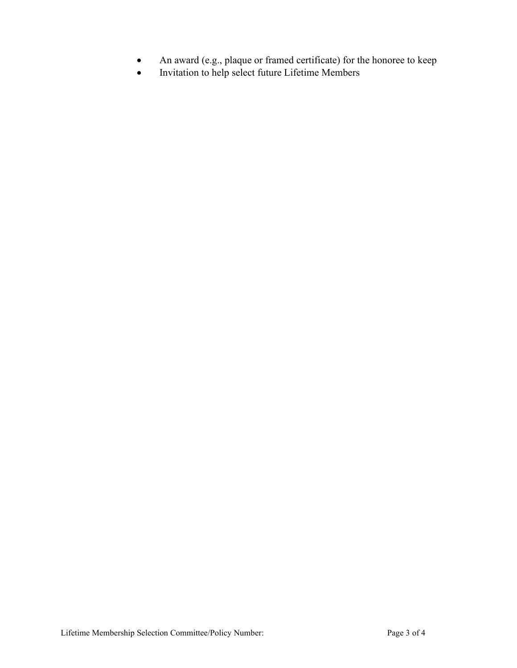- An award (e.g., plaque or framed certificate) for the honoree to keep
- Invitation to help select future Lifetime Members